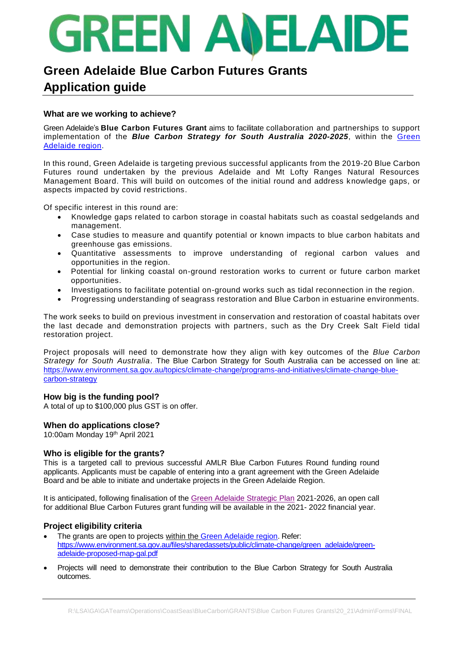# **GREEN ANELAID**

### **Green Adelaide Blue Carbon Futures Grants Application guide**

#### **What are we working to achieve?**

Green Adelaide's **Blue Carbon Futures Grant** aims to facilitate collaboration and partnerships to support implementation of the **Blue Carbon Strategy for South Australia 2020-2025**, within the Green [Adelaide region.](https://www.environment.sa.gov.au/topics/green-adelaide/region-map)

In this round, Green Adelaide is targeting previous successful applicants from the 2019-20 Blue Carbon Futures round undertaken by the previous Adelaide and Mt Lofty Ranges Natural Resources Management Board. This will build on outcomes of the initial round and address knowledge gaps, or aspects impacted by covid restrictions.

Of specific interest in this round are:

- Knowledge gaps related to carbon storage in coastal habitats such as coastal sedgelands and management.
- Case studies to measure and quantify potential or known impacts to blue carbon habitats and greenhouse gas emissions.
- Quantitative assessments to improve understanding of regional carbon values and opportunities in the region.
- Potential for linking coastal on-ground restoration works to current or future carbon market opportunities.
- Investigations to facilitate potential on-ground works such as tidal reconnection in the region.
- Progressing understanding of seagrass restoration and Blue Carbon in estuarine environments.

The work seeks to build on previous investment in conservation and restoration of coastal habitats over the last decade and demonstration projects with partners, such as the Dry Creek Salt Field tidal restoration project.

Project proposals will need to demonstrate how they align with key outcomes of the *Blue Carbon Strategy for South Australia*. The Blue Carbon Strategy for South Australia can be accessed on line at: [https://www.environment.sa.gov.au/topics/climate-change/programs-and-initiatives/climate-change-blue](https://www.environment.sa.gov.au/topics/climate-change/programs-and-initiatives/climate-change-blue-carbon-strategy)[carbon-strategy](https://www.environment.sa.gov.au/topics/climate-change/programs-and-initiatives/climate-change-blue-carbon-strategy)

#### **How big is the funding pool?**

A total of up to \$100,000 plus GST is on offer.

#### **When do applications close?**

10:00am Monday 19th April 2021

#### **Who is eligible for the grants?**

This is a targeted call to previous successful AMLR Blue Carbon Futures Round funding round applicants. Applicants must be capable of entering into a grant agreement with the Green Adelaide Board and be able to initiate and undertake projects in the Green Adelaide Region.

It is anticipated, following finalisation of the [Green Adelaide Strategic Plan](https://s3-ap-southeast-2.amazonaws.com/assets.yoursay.sa.gov.au/production/2021/03/10/02/02/39/81c128cd-8005-40de-925d-3ef8ab7290d1/draft%20Green%20Adelaide%20Regional%20Landscape%20Plan%20for%20consultation_March%202021....pdf) 2021-2026, an open call for additional Blue Carbon Futures grant funding will be available in the 2021- 2022 financial year.

#### **Project eligibility criteria**

- The grants are open to projects within the [Green Adelaide region.](https://www.environment.sa.gov.au/topics/green-adelaide/region-map) Refer: [https://www.environment.sa.gov.au/files/sharedassets/public/climate-change/green\\_adelaide/green](https://www.environment.sa.gov.au/files/sharedassets/public/climate-change/green_adelaide/green-adelaide-proposed-map-gal.pdf)[adelaide-proposed-map-gal.pdf](https://www.environment.sa.gov.au/files/sharedassets/public/climate-change/green_adelaide/green-adelaide-proposed-map-gal.pdf)
- Projects will need to demonstrate their contribution to the Blue Carbon Strategy for South Australia outcomes.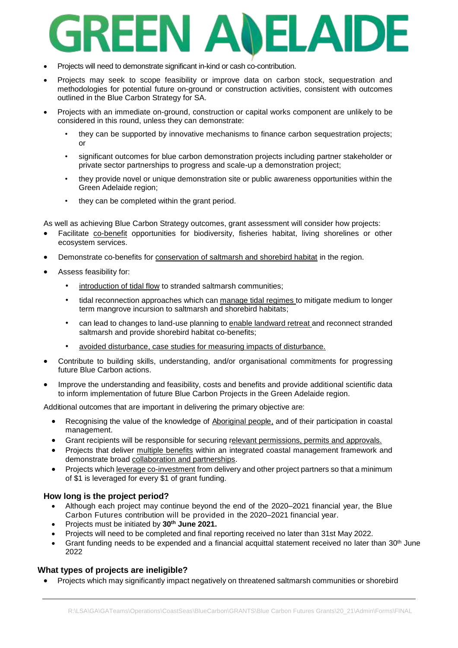## EEN A ELAI

- Projects will need to demonstrate significant in-kind or cash co-contribution.
- Projects may seek to scope feasibility or improve data on carbon stock, sequestration and methodologies for potential future on-ground or construction activities, consistent with outcomes outlined in the Blue Carbon Strategy for SA.
- Projects with an immediate on-ground, construction or capital works component are unlikely to be considered in this round, unless they can demonstrate:
	- they can be supported by innovative mechanisms to finance carbon sequestration projects; or
	- significant outcomes for blue carbon demonstration projects including partner stakeholder or private sector partnerships to progress and scale-up a demonstration project;
	- they provide novel or unique demonstration site or public awareness opportunities within the Green Adelaide region;
	- they can be completed within the grant period.

As well as achieving Blue Carbon Strategy outcomes, grant assessment will consider how projects:

- Facilitate co-benefit opportunities for biodiversity, fisheries habitat, living shorelines or other ecosystem services.
- Demonstrate co-benefits for conservation of saltmarsh and shorebird habitat in the region.
- Assess feasibility for:
	- introduction of tidal flow to stranded saltmarsh communities;
	- tidal reconnection approaches which can manage tidal regimes to mitigate medium to longer term mangrove incursion to saltmarsh and shorebird habitats;
	- can lead to changes to land-use planning to enable landward retreat and reconnect stranded saltmarsh and provide shorebird habitat co-benefits;
	- avoided disturbance, case studies for measuring impacts of disturbance.
- Contribute to building skills, understanding, and/or organisational commitments for progressing future Blue Carbon actions.
- Improve the understanding and feasibility, costs and benefits and provide additional scientific data to inform implementation of future Blue Carbon Projects in the Green Adelaide region.

Additional outcomes that are important in delivering the primary objective are:

- Recognising the value of the knowledge of Aboriginal people, and of their participation in coastal management.
- Grant recipients will be responsible for securing relevant permissions, permits and approvals.
- Projects that deliver multiple benefits within an integrated coastal management framework and demonstrate broad collaboration and partnerships.
- Projects which leverage co-investment from delivery and other project partners so that a minimum of \$1 is leveraged for every \$1 of grant funding.

#### **How long is the project period?**

- Although each project may continue beyond the end of the 2020–2021 financial year, the Blue Carbon Futures contribution will be provided in the 2020–2021 financial year.
- Projects must be initiated by **30 th June 2021.**
- Projects will need to be completed and final reporting received no later than 31st May 2022.
- Grant funding needs to be expended and a financial acquittal statement received no later than  $30<sup>th</sup>$  June 2022

#### **What types of projects are ineligible?**

Projects which may significantly impact negatively on threatened saltmarsh communities or shorebird